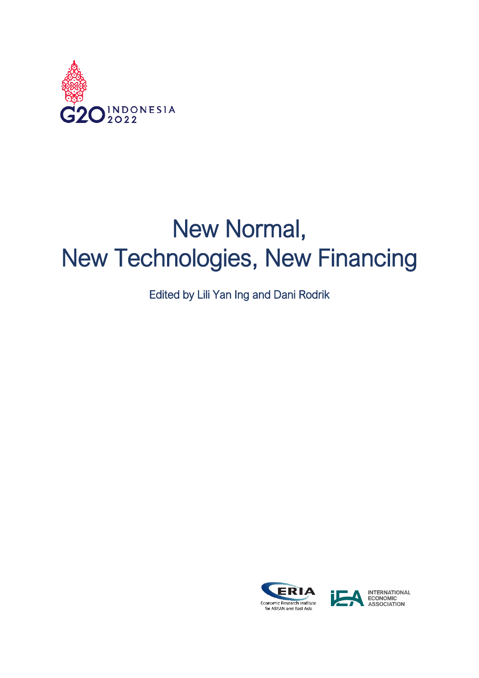

## New Normal, New Technologies, New Financing

Edited by Lili Yan Ing and Dani Rodrik